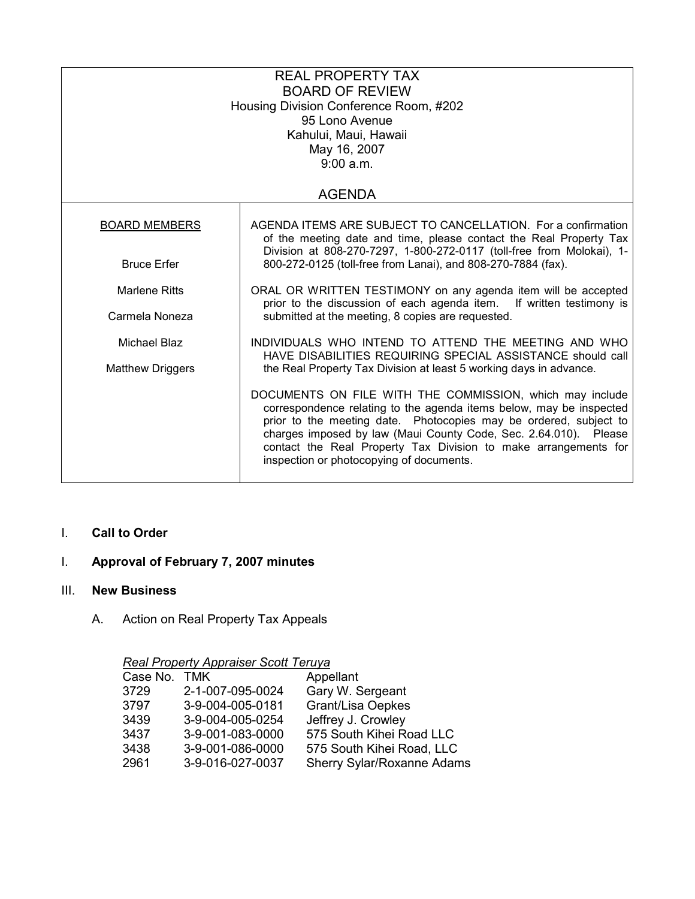| <b>REAL PROPERTY TAX</b><br><b>BOARD OF REVIEW</b><br>Housing Division Conference Room, #202<br>95 Lono Avenue<br>Kahului, Maui, Hawaii<br>May 16, 2007<br>9:00 a.m. |                                                                                                                                                                                                                                                                                                                                                                                         |  |  |  |
|----------------------------------------------------------------------------------------------------------------------------------------------------------------------|-----------------------------------------------------------------------------------------------------------------------------------------------------------------------------------------------------------------------------------------------------------------------------------------------------------------------------------------------------------------------------------------|--|--|--|
| <b>AGENDA</b>                                                                                                                                                        |                                                                                                                                                                                                                                                                                                                                                                                         |  |  |  |
| <b>BOARD MEMBERS</b>                                                                                                                                                 | AGENDA ITEMS ARE SUBJECT TO CANCELLATION. For a confirmation<br>of the meeting date and time, please contact the Real Property Tax                                                                                                                                                                                                                                                      |  |  |  |
| <b>Bruce Erfer</b>                                                                                                                                                   | Division at 808-270-7297, 1-800-272-0117 (toll-free from Molokai), 1-<br>800-272-0125 (toll-free from Lanai), and 808-270-7884 (fax).                                                                                                                                                                                                                                                   |  |  |  |
| <b>Marlene Ritts</b>                                                                                                                                                 | ORAL OR WRITTEN TESTIMONY on any agenda item will be accepted<br>prior to the discussion of each agenda item. If written testimony is                                                                                                                                                                                                                                                   |  |  |  |
| Carmela Noneza                                                                                                                                                       | submitted at the meeting, 8 copies are requested.                                                                                                                                                                                                                                                                                                                                       |  |  |  |
| Michael Blaz<br><b>Matthew Driggers</b>                                                                                                                              | INDIVIDUALS WHO INTEND TO ATTEND THE MEETING AND WHO<br>HAVE DISABILITIES REQUIRING SPECIAL ASSISTANCE should call<br>the Real Property Tax Division at least 5 working days in advance.                                                                                                                                                                                                |  |  |  |
|                                                                                                                                                                      | DOCUMENTS ON FILE WITH THE COMMISSION, which may include<br>correspondence relating to the agenda items below, may be inspected<br>prior to the meeting date. Photocopies may be ordered, subject to<br>charges imposed by law (Maui County Code, Sec. 2.64.010). Please<br>contact the Real Property Tax Division to make arrangements for<br>inspection or photocopying of documents. |  |  |  |

## I. Call to Order

# I. Approval of February 7, 2007 minutes

#### III. New Business

A. Action on Real Property Tax Appeals

## Real Property Appraiser Scott Teruya

| Case No. TMK |                  | Appellant                  |
|--------------|------------------|----------------------------|
| 3729         | 2-1-007-095-0024 | Gary W. Sergeant           |
| 3797         | 3-9-004-005-0181 | <b>Grant/Lisa Oepkes</b>   |
| 3439         | 3-9-004-005-0254 | Jeffrey J. Crowley         |
| 3437         | 3-9-001-083-0000 | 575 South Kihei Road LLC   |
| 3438         | 3-9-001-086-0000 | 575 South Kihei Road, LLC  |
| 2961         | 3-9-016-027-0037 | Sherry Sylar/Roxanne Adams |
|              |                  |                            |